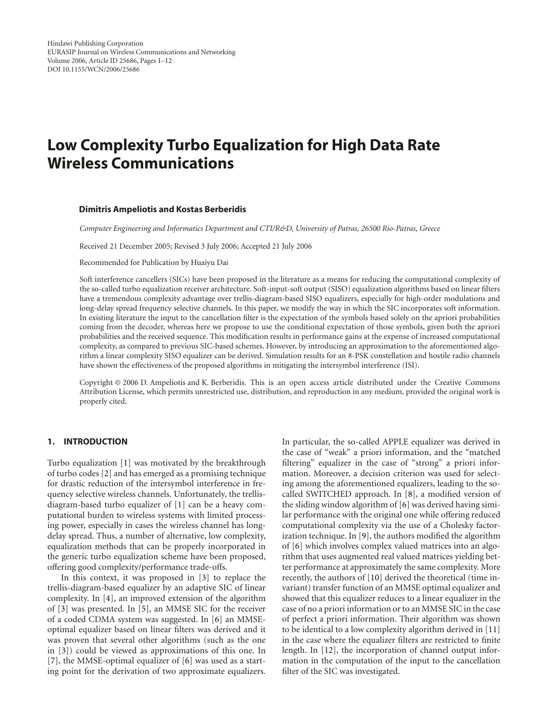# **Low Complexity Turbo Equalization for High Data Rate Wireless Communications**

#### **Dimitris Ampeliotis and Kostas Berberidis**

*Computer Engineering and Informatics Department and CTI/R&D, University of Patras, 26500 Rio-Patras, Greece*

Received 21 December 2005; Revised 3 July 2006; Accepted 21 July 2006

Recommended for Publication by Huaiyu Dai

Soft interference cancellers (SICs) have been proposed in the literature as a means for reducing the computational complexity of the so-called turbo equalization receiver architecture. Soft-input-soft output (SISO) equalization algorithms based on linear filters have a tremendous complexity advantage over trellis-diagram-based SISO equalizers, especially for high-order modulations and long-delay spread frequency selective channels. In this paper, we modify the way in which the SIC incorporates soft information. In existing literature the input to the cancellation filter is the expectation of the symbols based solely on the apriori probabilities coming from the decoder, whereas here we propose to use the conditional expectation of those symbols, given both the apriori probabilities and the received sequence. This modification results in performance gains at the expense of increased computational complexity, as compared to previous SIC-based schemes. However, by introducing an approximation to the aforementioned algorithm a linear complexity SISO equalizer can be derived. Simulation results for an 8-PSK constellation and hostile radio channels have shown the effectiveness of the proposed algorithms in mitigating the intersymbol interference (ISI).

Copyright © 2006 D. Ampeliotis and K. Berberidis. This is an open access article distributed under the Creative Commons Attribution License, which permits unrestricted use, distribution, and reproduction in any medium, provided the original work is properly cited.

## **1. INTRODUCTION**

Turbo equalization [\[1\]](#page-10-1) was motivated by the breakthrough of turbo codes [\[2](#page-10-2)] and has emerged as a promising technique for drastic reduction of the intersymbol interference in frequency selective wireless channels. Unfortunately, the trellisdiagram-based turbo equalizer of [\[1](#page-10-1)] can be a heavy computational burden to wireless systems with limited processing power, especially in cases the wireless channel has longdelay spread. Thus, a number of alternative, low complexity, equalization methods that can be properly incorporated in the generic turbo equalization scheme have been proposed, offering good complexity/performance trade-offs.

In this context, it was proposed in [\[3\]](#page-10-3) to replace the trellis-diagram-based equalizer by an adaptive SIC of linear complexity. In [\[4](#page-10-4)], an improved extension of the algorithm of [\[3\]](#page-10-3) was presented. In [\[5](#page-10-5)], an MMSE SIC for the receiver of a coded CDMA system was suggested. In [\[6\]](#page-10-6) an MMSEoptimal equalizer based on linear filters was derived and it was proven that several other algorithms (such as the one in [\[3](#page-10-3)]) could be viewed as approximations of this one. In [\[7\]](#page-10-7), the MMSE-optimal equalizer of [\[6](#page-10-6)] was used as a starting point for the derivation of two approximate equalizers.

In particular, the so-called APPLE equalizer was derived in the case of "weak" a priori information, and the "matched filtering" equalizer in the case of "strong" a priori information. Moreover, a decision criterion was used for selecting among the aforementioned equalizers, leading to the socalled SWITCHED approach. In [\[8](#page-10-8)], a modified version of the sliding window algorithm of [\[6](#page-10-6)] was derived having similar performance with the original one while offering reduced computational complexity via the use of a Cholesky factorization technique. In [\[9\]](#page-10-9), the authors modified the algorithm of [\[6](#page-10-6)] which involves complex valued matrices into an algorithm that uses augmented real valued matrices yielding better performance at approximately the same complexity. More recently, the authors of [\[10\]](#page-10-10) derived the theoretical (time invariant) transfer function of an MMSE optimal equalizer and showed that this equalizer reduces to a linear equalizer in the case of no a priori information or to an MMSE SIC in the case of perfect a priori information. Their algorithm was shown to be identical to a low complexity algorithm derived in [\[11\]](#page-10-11) in the case where the equalizer filters are restricted to finite length. In [\[12](#page-10-12)], the incorporation of channel output information in the computation of the input to the cancellation filter of the SIC was investigated.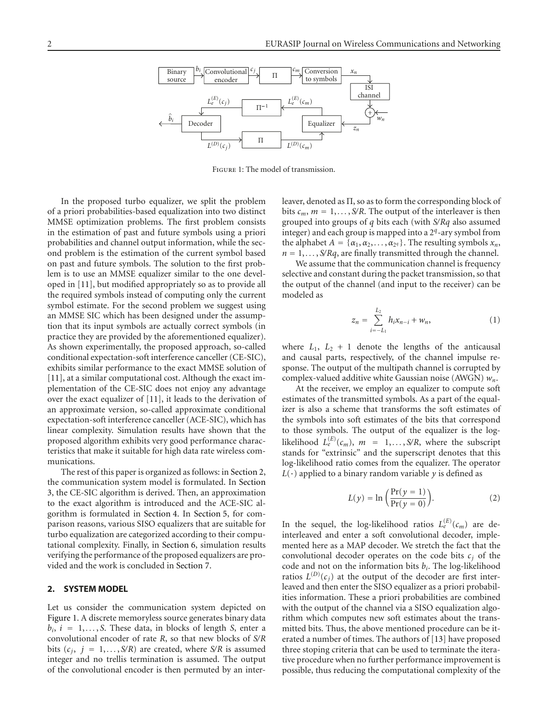

<span id="page-1-1"></span>Figure 1: The model of transmission.

In the proposed turbo equalizer, we split the problem of a priori probabilities-based equalization into two distinct MMSE optimization problems. The first problem consists in the estimation of past and future symbols using a priori probabilities and channel output information, while the second problem is the estimation of the current symbol based on past and future symbols. The solution to the first problem is to use an MMSE equalizer similar to the one developed in [\[11](#page-10-11)], but modified appropriately so as to provide all the required symbols instead of computing only the current symbol estimate. For the second problem we suggest using an MMSE SIC which has been designed under the assumption that its input symbols are actually correct symbols (in practice they are provided by the aforementioned equalizer). As shown experimentally, the proposed approach, so-called conditional expectation-soft interference canceller (CE-SIC), exhibits similar performance to the exact MMSE solution of [\[11](#page-10-11)], at a similar computational cost. Although the exact implementation of the CE-SIC does not enjoy any advantage over the exact equalizer of [\[11\]](#page-10-11), it leads to the derivation of an approximate version, so-called approximate conditional expectation-soft interference canceller (ACE-SIC), which has linear complexity. Simulation results have shown that the proposed algorithm exhibits very good performance characteristics that make it suitable for high data rate wireless communications.

The rest of this paper is organized as follows: in [Section 2,](#page-1-0) the communication system model is formulated. In [Section](#page-2-0) [3,](#page-2-0) the CE-SIC algorithm is derived. Then, an approximation to the exact algorithm is introduced and the ACE-SIC algorithm is formulated in [Section 4.](#page-4-0) In [Section 5,](#page-6-0) for comparison reasons, various SISO equalizers that are suitable for turbo equalization are categorized according to their computational complexity. Finally, in [Section 6,](#page-7-0) simulation results verifying the performance of the proposed equalizers are provided and the work is concluded in [Section 7.](#page-7-1)

#### <span id="page-1-0"></span>**2. SYSTEM MODEL**

Let us consider the communication system depicted on [Figure 1.](#page-1-1) A discrete memoryless source generates binary data  $b_i$ ,  $i = 1, \ldots, S$ . These data, in blocks of length *S*, enter a convolutional encoder of rate *R*, so that new blocks of *S/R* bits  $(c_j, j = 1, \ldots, S/R)$  are created, where  $S/R$  is assumed integer and no trellis termination is assumed. The output of the convolutional encoder is then permuted by an interleaver, denoted as  $\Pi$ , so as to form the corresponding block of bits  $c_m$ ,  $m = 1, \ldots, S/R$ . The output of the interleaver is then grouped into groups of *q* bits each (with *S/Rq* also assumed integer) and each group is mapped into a 2*q*-ary symbol from the alphabet  $A = \{\alpha_1, \alpha_2, \dots, \alpha_{2q}\}\.$  The resulting symbols  $x_n$ ,  $n = 1, \ldots, S/Rq$ , are finally transmitted through the channel.

We assume that the communication channel is frequency selective and constant during the packet transmission, so that the output of the channel (and input to the receiver) can be modeled as

$$
z_n = \sum_{i=-L_1}^{L_2} h_i x_{n-i} + w_n, \tag{1}
$$

where  $L_1$ ,  $L_2$  + 1 denote the lengths of the anticausal and causal parts, respectively, of the channel impulse response. The output of the multipath channel is corrupted by complex-valued additive white Gaussian noise (AWGN) *wn*.

At the receiver, we employ an equalizer to compute soft estimates of the transmitted symbols. As a part of the equalizer is also a scheme that transforms the soft estimates of the symbols into soft estimates of the bits that correspond to those symbols. The output of the equalizer is the loglikelihood  $L_e^{(E)}(c_m)$ ,  $m = 1, \ldots, S/R$ , where the subscript stands for "extrinsic" and the superscript denotes that this log-likelihood ratio comes from the equalizer. The operator  $L(\cdot)$  applied to a binary random variable *y* is defined as

$$
L(y) = \ln\left(\frac{\Pr(y=1)}{\Pr(y=0)}\right). \tag{2}
$$

In the sequel, the log-likelihood ratios  $L_e^{(E)}(c_m)$  are deinterleaved and enter a soft convolutional decoder, implemented here as a MAP decoder. We stretch the fact that the convolutional decoder operates on the code bits  $c_i$  of the code and not on the information bits *bi*. The log-likelihood ratios  $L^{(D)}(c_j)$  at the output of the decoder are first interleaved and then enter the SISO equalizer as a priori probabilities information. These a priori probabilities are combined with the output of the channel via a SISO equalization algorithm which computes new soft estimates about the transmitted bits. Thus, the above mentioned procedure can be iterated a number of times. The authors of [\[13](#page-10-13)] have proposed three stoping criteria that can be used to terminate the iterative procedure when no further performance improvement is possible, thus reducing the computational complexity of the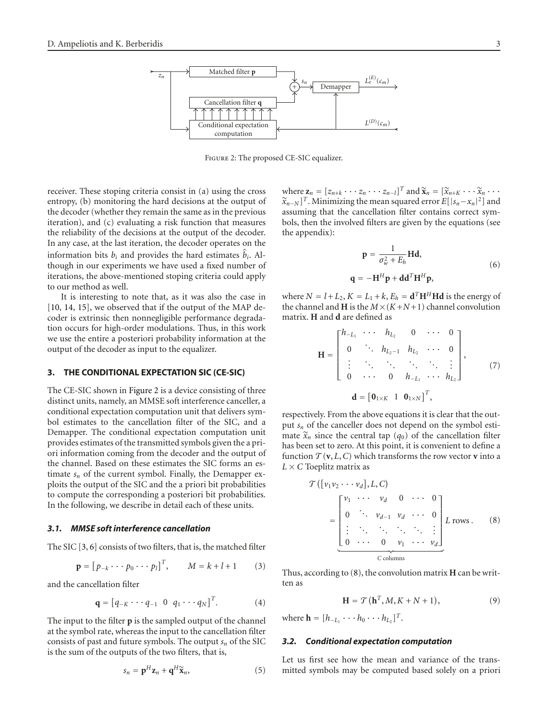

<span id="page-2-1"></span>Figure 2: The proposed CE-SIC equalizer.

receiver. These stoping criteria consist in (a) using the cross entropy, (b) monitoring the hard decisions at the output of the decoder (whether they remain the same as in the previous iteration), and (c) evaluating a risk function that measures the reliability of the decisions at the output of the decoder. In any case, at the last iteration, the decoder operates on the information bits  $b_i$  and provides the hard estimates  $\hat{b}_i$ . Although in our experiments we have used a fixed number of iterations, the above-mentioned stoping criteria could apply to our method as well.

It is interesting to note that, as it was also the case in [\[10](#page-10-10), [14](#page-10-14), [15\]](#page-10-15), we observed that if the output of the MAP decoder is extrinsic then nonnegligible performance degradation occurs for high-order modulations. Thus, in this work we use the entire a posteriori probability information at the output of the decoder as input to the equalizer.

## <span id="page-2-0"></span>**3. THE CONDITIONAL EXPECTATION SIC (CE-SIC)**

The CE-SIC shown in [Figure 2](#page-2-1) is a device consisting of three distinct units, namely, an MMSE soft interference canceller, a conditional expectation computation unit that delivers symbol estimates to the cancellation filter of the SIC, and a Demapper. The conditional expectation computation unit provides estimates of the transmitted symbols given the a priori information coming from the decoder and the output of the channel. Based on these estimates the SIC forms an estimate  $s_n$  of the current symbol. Finally, the Demapper exploits the output of the SIC and the a priori bit probabilities to compute the corresponding a posteriori bit probabilities. In the following, we describe in detail each of these units.

#### *3.1. MMSE soft interference cancellation*

The SIC [\[3](#page-10-3), [6](#page-10-6)] consists of two filters, that is, the matched filter

$$
\mathbf{p} = [p_{-k} \cdots p_0 \cdots p_l]^T, \qquad M = k + l + 1 \tag{3}
$$

and the cancellation filter

$$
\mathbf{q} = [q_{-K} \cdots q_{-1} \ 0 \ q_1 \cdots q_N]^T. \tag{4}
$$

The input to the filter **p** is the sampled output of the channel at the symbol rate, whereas the input to the cancellation filter consists of past and future symbols. The output  $s_n$  of the SIC is the sum of the outputs of the two filters, that is,

<span id="page-2-3"></span>
$$
s_n = \mathbf{p}^H \mathbf{z}_n + \mathbf{q}^H \widetilde{\mathbf{x}}_n, \tag{5}
$$

where  $\mathbf{z}_n = [z_{n+k} \cdots z_n \cdots z_{n-l}]^T$  and  $\widetilde{\mathbf{x}}_n = [\widetilde{x}_{n+K} \cdots \widetilde{x}_n \cdots$  $\widetilde{x}_{n-N}$ <sup>T</sup>. Minimizing the mean squared error  $E[|s_n-x_n|^2]$  and assuming that the cancellation filter contains correct symbols, then the involved filters are given by the equations (see the appendix):

<span id="page-2-4"></span>
$$
\mathbf{p} = \frac{1}{\sigma_w^2 + E_h} \mathbf{H} \mathbf{d},
$$
  
q = -\mathbf{H}^H \mathbf{p} + \mathbf{d} \mathbf{d}^T \mathbf{H}^H \mathbf{p}, (6)

where  $N = l + L_2$ ,  $K = L_1 + k$ ,  $E_h = d^T H^H H d$  is the energy of the channel and **H** is the  $M \times (K+N+1)$  channel convolution matrix. **H** and **d** are defined as

$$
\mathbf{H} = \begin{bmatrix} h_{-L_1} & \cdots & h_{L_2} & 0 & \cdots & 0 \\ 0 & \ddots & h_{L_2-1} & h_{L_2} & \cdots & 0 \\ \vdots & \ddots & \ddots & \ddots & \ddots & \vdots \\ 0 & \cdots & 0 & h_{-L_1} & \cdots & h_{L_2} \end{bmatrix}, \quad (7)
$$

$$
\mathbf{d} = \begin{bmatrix} \mathbf{0}_{1 \times K} & 1 & \mathbf{0}_{1 \times N} \end{bmatrix}^T,
$$

respectively. From the above equations it is clear that the output *sn* of the canceller does not depend on the symbol estimate  $\tilde{x}_n$  since the central tap  $(q_0)$  of the cancellation filter has been set to zero. At this point, it is convenient to define a function  $\mathcal{T}(\mathbf{v}, L, C)$  which transforms the row vector **v** into a  $L \times C$  Toeplitz matrix as

<span id="page-2-2"></span>
$$
\mathcal{T}\left(\left[v_1v_2\cdots v_d\right], L, C\right)
$$
\n
$$
= \begin{bmatrix}\nv_1 & \cdots & v_d & 0 & \cdots & 0 \\
0 & \ddots & v_{d-1} & v_d & \cdots & 0 \\
\vdots & \ddots & \ddots & \ddots & \ddots & \vdots \\
0 & \cdots & 0 & v_1 & \cdots & v_d\n\end{bmatrix} L \text{ rows.} \quad (8)
$$

<span id="page-2-5"></span>Thus, according to [\(8\)](#page-2-2), the convolution matrix **H** can be written as

$$
\mathbf{H} = \mathcal{T}(\mathbf{h}^T, M, K + N + 1), \tag{9}
$$

where  $\mathbf{h} = [h_{-L_1} \cdots h_0 \cdots h_{L_2}]^T$ .

#### *3.2. Conditional expectation computation*

Let us first see how the mean and variance of the transmitted symbols may be computed based solely on a priori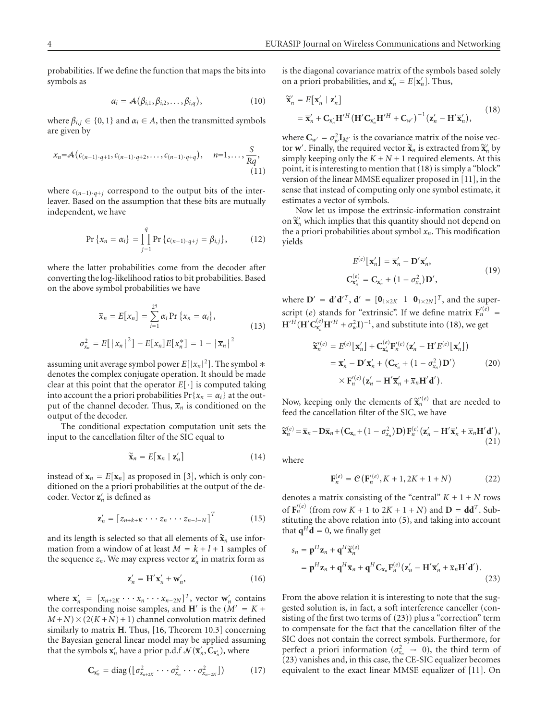probabilities. If we define the function that maps the bits into symbols as

$$
\alpha_i = \mathcal{A}(\beta_{i,1}, \beta_{i,2}, \dots, \beta_{i,q}), \qquad (10)
$$

where  $\beta_{i,j} \in \{0,1\}$  and  $\alpha_i \in A$ , then the transmitted symbols are given by

$$
x_n = A(c_{(n-1)\cdot q+1}, c_{(n-1)\cdot q+2}, \ldots, c_{(n-1)\cdot q+q}), \quad n=1, \ldots, \frac{S}{Rq},
$$
\n(11)

where  $c_{(n-1)\cdot q+j}$  correspond to the output bits of the interleaver. Based on the assumption that these bits are mutually independent, we have

$$
\Pr\left\{x_n = \alpha_i\right\} = \prod_{j=1}^{q} \Pr\left\{c_{(n-1)\cdot q+j} = \beta_{i,j}\right\},\tag{12}
$$

where the latter probabilities come from the decoder after converting the log-likelihood ratios to bit probabilities. Based on the above symbol probabilities we have

$$
\overline{x}_n = E[x_n] = \sum_{i=1}^{2^q} \alpha_i \Pr\{x_n = \alpha_i\},
$$
  

$$
\sigma_{x_n}^2 = E[\left|x_n\right|^2] - E[x_n]E[x_n^*] = 1 - \left|\overline{x}_n\right|^2
$$
 (13)

assuming unit average symbol power  $E[|x_n|^2]$ . The symbol  $*$ denotes the complex conjugate operation. It should be made clear at this point that the operator *<sup>E</sup>*[·] is computed taking into account the a priori probabilities  $Pr\{x_n = \alpha_i\}$  at the output of the channel decoder. Thus,  $\overline{x}_n$  is conditioned on the output of the decoder.

The conditional expectation computation unit sets the input to the cancellation filter of the SIC equal to

$$
\widetilde{\mathbf{x}}_n = E[\mathbf{x}_n \mid \mathbf{z}'_n] \tag{14}
$$

instead of  $\overline{\mathbf{x}}_n = E[\mathbf{x}_n]$  as proposed in [\[3\]](#page-10-3), which is only conditioned on the a priori probabilities at the output of the decoder. Vector **z** *<sup>n</sup>* is defined as

$$
\mathbf{z}'_n = \begin{bmatrix} z_{n+k+K} \cdots z_n \cdots z_{n-l-N} \end{bmatrix}^T \tag{15}
$$

and its length is selected so that all elements of  $\tilde{\mathbf{x}}_n$  use information from a window of at least  $M = k + l + 1$  samples of the sequence  $z_n$ . We may express vector  $z'_n$  in matrix form as

$$
\mathbf{z}'_n = \mathbf{H}' \mathbf{x}'_n + \mathbf{w}'_n,\tag{16}
$$

where  $\mathbf{x}'_n = [x_{n+2K} \cdots x_n \cdots x_{n-2N}]^T$ , vector  $\mathbf{w}'_n$  contains the corresponding noise samples, and **H**' is the  $(M' = K +$  $M+N$   $\times$  (2( $K+N$ ) + 1) channel convolution matrix defined similarly to matrix **H**. Thus, [\[16](#page-10-16), Theorem 10.3] concerning the Bayesian general linear model may be applied assuming that the symbols  $\mathbf{x}'_n$  have a prior p.d.f  $\mathcal{N}(\overline{\mathbf{x}}'_n, \mathbf{C}_{\mathbf{x}'_n})$ , where

$$
\mathbf{C}_{\mathbf{x}'_n} = \text{diag}\left( \left[ \sigma_{x_{n+2K}}^2 \cdots \sigma_{x_n}^2 \cdots \sigma_{x_{n-2N}}^2 \right] \right) \tag{17}
$$

is the diagonal covariance matrix of the symbols based solely on a priori probabilities, and  $\overline{\mathbf{x}}'_n = E[\mathbf{x}'_n]$ . Thus,

<span id="page-3-0"></span>
$$
\widetilde{\mathbf{x}}'_n = E[\mathbf{x}'_n | \mathbf{z}'_n]
$$
\n
$$
= \overline{\mathbf{x}}'_n + \mathbf{C}_{\mathbf{x}'_n} \mathbf{H}'^H (\mathbf{H}' \mathbf{C}_{\mathbf{x}'_n} \mathbf{H}'^H + \mathbf{C}_{w'})^{-1} (\mathbf{z}'_n - \mathbf{H}' \overline{\mathbf{x}}'_n),
$$
\n(18)

where  $C_{w'} = \sigma_w^2 I_{M'}$  is the covariance matrix of the noise vector **w**'. Finally, the required vector  $\tilde{\mathbf{x}}_n$  is extracted from  $\tilde{\mathbf{x}}_n'$  by simply keeping only the  $K + N + 1$  required elements. At this point, it is interesting to mention that [\(18\)](#page-3-0) is simply a "block" version of the linear MMSE equalizer proposed in [\[11\]](#page-10-11), in the sense that instead of computing only one symbol estimate, it estimates a vector of symbols.

Now let us impose the extrinsic-information constraint on  $\tilde{\mathbf{x}}_n'$  which implies that this quantity should not depend on the a priori probabilities about symbol *xn*. This modification yields

$$
E^{(e)}[\mathbf{x}'_n] = \overline{\mathbf{x}}'_n - \mathbf{D}'\overline{\mathbf{x}}'_n,
$$
  
\n
$$
\mathbf{C}^{(e)}_{\mathbf{x}'_n} = \mathbf{C}_{\mathbf{x}'_n} + (1 - \sigma_{\mathbf{x}_n}^2)\mathbf{D}',
$$
\n(19)

<span id="page-3-2"></span>where  $\mathbf{D}' = \mathbf{d}'\mathbf{d}'^T$ ,  $\mathbf{d}' = [\mathbf{0}_{1 \times 2K} \quad 1 \quad \mathbf{0}_{1 \times 2N}]^T$ , and the superscript (*e*) stands for "extrinsic". If we define matrix  $F'_n^{(e)} =$  $\mathbf{H}'^H(\mathbf{H}'\mathbf{C}_{\mathbf{x}_n'}^{(e)}\mathbf{H}'^H + \sigma_w^2\mathbf{I})^{-1}$ , and substitute into [\(18\)](#page-3-0), we get

$$
\widetilde{\mathbf{x}}_{n}^{\prime(e)} = E^{(e)}[\mathbf{x}_{n}^{\prime}] + \mathbf{C}_{\mathbf{x}_{n}^{\prime}}^{(e)} \mathbf{F}_{n}^{\prime(e)}(\mathbf{z}_{n}^{\prime} - \mathbf{H}^{\prime} E^{(e)}[\mathbf{x}_{n}^{\prime}])
$$
\n
$$
= \overline{\mathbf{x}}_{n}^{\prime} - \mathbf{D}^{\prime} \overline{\mathbf{x}}_{n}^{\prime} + (\mathbf{C}_{\mathbf{x}_{n}^{\prime}} + (1 - \sigma_{\mathbf{x}_{n}}^{2}) \mathbf{D}^{\prime}) \qquad (20)
$$
\n
$$
\times \mathbf{F}_{n}^{\prime(e)}(\mathbf{z}_{n}^{\prime} - \mathbf{H}^{\prime} \overline{\mathbf{x}}_{n}^{\prime} + \overline{\mathbf{x}}_{n} \mathbf{H}^{\prime} \mathbf{d}^{\prime}).
$$

Now, keeping only the elements of  $\tilde{\mathbf{x}}_n^{\prime\prime}(e)$  that are needed to feed the cancellation filter of the SIC, we have

$$
\widetilde{\mathbf{x}}_n^{(e)} = \overline{\mathbf{x}}_n - \mathbf{D}\overline{\mathbf{x}}_n + (\mathbf{C}_{\mathbf{x}_n} + (1 - \sigma_{\mathbf{x}_n}^2)\mathbf{D})\mathbf{F}_n^{(e)}(\mathbf{z}_n' - \mathbf{H}'\overline{\mathbf{x}}_n' + \overline{\mathbf{x}}_n\mathbf{H}'\mathbf{d}'),
$$
\n(21)

where

<span id="page-3-3"></span><span id="page-3-1"></span>
$$
\mathbf{F}_n^{(e)} = \mathcal{C}\left(\mathbf{F}_n'^{(e)}, K+1, 2K+1+N\right) \tag{22}
$$

denotes a matrix consisting of the "central"  $K + 1 + N$  rows of  $\mathbf{F}_n^{'(e)}$  (from row  $K + 1$  to  $2K + 1 + N$ ) and  $\mathbf{D} = \mathbf{d} \mathbf{d}^T$ . Substituting the above relation into [\(5\)](#page-2-3), and taking into account that  $\mathbf{q}^H \mathbf{d} = 0$ , we finally get

$$
s_n = \mathbf{p}^H \mathbf{z}_n + \mathbf{q}^H \widetilde{\mathbf{x}}_n^{(e)}
$$
  
=  $\mathbf{p}^H \mathbf{z}_n + \mathbf{q}^H \overline{\mathbf{x}}_n + \mathbf{q}^H \mathbf{C}_{\mathbf{x}_n} \mathbf{F}_n^{(e)} (\mathbf{z}_n' - \mathbf{H}' \overline{\mathbf{x}}_n' + \overline{\mathbf{x}}_n \mathbf{H}' \mathbf{d}').$  (23)

From the above relation it is interesting to note that the suggested solution is, in fact, a soft interference canceller (consisting of the first two terms of [\(23\)](#page-3-1)) plus a "correction" term to compensate for the fact that the cancellation filter of the SIC does not contain the correct symbols. Furthermore, for perfect a priori information ( $\sigma_{x_n}^2 \rightarrow 0$ ), the third term of [\(23\)](#page-3-1) vanishes and, in this case, the CE-SIC equalizer becomes equivalent to the exact linear MMSE equalizer of [\[11\]](#page-10-11). On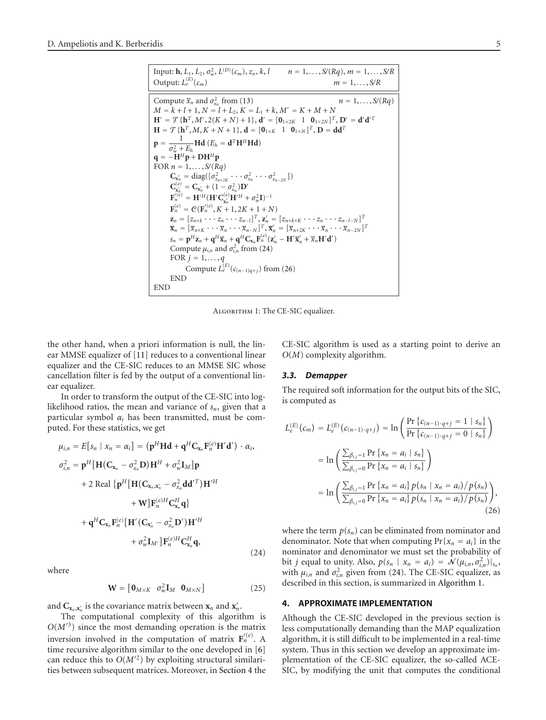Input: **h**, 
$$
L_1
$$
,  $L_2$ ,  $\sigma_w^2$ ,  $L^{(D)}(c_m)$ ,  $z_n$ ,  $k$ ,  $l$   $n = 1,..., S/(Rq)$ ,  $m = 1,..., S/R$   
\nOutput:  $L_{\epsilon}^{(E)}(c_m)$   $m = 1,..., S/(Rq)$   
\nCompute  $\overline{x}_n$  and  $\sigma_{x_n}^2$  from (13)  
\n $M = k + l + 1, N = l + L_2, K = L_1 + k, M' = K + M + N$   
\n $H' = T {h^T, M', 2(K + N) + 1}, d' = [0_{1 \times 2K} 1 0_{1 \times 2N}]^T, D' = d'd'^T$   
\n $H = T {h^T, M, K + N + 1}, d = [0_{1 \times K} 1 0_{1 \times N}]^T, D = dd^T$   
\n $\mathbf{p} = \frac{1}{\sigma_w^2 + E_h} \mathbf{H} d (E_h = d^T \mathbf{H}^H \mathbf{H} d)$   
\n $\mathbf{q} = -\mathbf{H}^H \mathbf{p} + \mathbf{D} \mathbf{H}^H \mathbf{p}$   
\nFOR  $n = 1,..., S/(Rq)$   
\n $C_{x'_n} = diag((\sigma_{x_{n+2K}}^2 \cdots \sigma_{x_n}^2 \cdots \sigma_{x_{n-2N}}^2))$   
\n $\mathbf{F}_n^{(e)} = \mathbf{C}_x'_n + (1 - \sigma_{x_n}^2) \mathbf{D}'$   
\n $\mathbf{F}_n^{(e)} = H'^H (\mathbf{H}' \mathbf{C}_x'_m \mathbf{H}'^H + \sigma_w^2 \mathbf{I})^{-1}$   
\n $\mathbf{F}_n = [z_{n+k} \cdots z_n \cdots z_{n-1}]^T, \mathbf{z}'_n = [z_{n+k+K} \cdots z_n \cdots z_{n-l-1}]^T$   
\n $\overline{x}_n = [\overline{x}_{n+k} \cdots \overline{x}_n \cdots \overline{x}_{n-N}]^T, \overline{x}'_n = [\overline{x}_{n+k+K} \cdots z_n \cdots \overline{x}_{n$ 

<span id="page-4-3"></span>ALGORITHM 1: The CE-SIC equalizer.

the other hand, when a priori information is null, the linear MMSE equalizer of [\[11](#page-10-11)] reduces to a conventional linear equalizer and the CE-SIC reduces to an MMSE SIC whose cancellation filter is fed by the output of a conventional linear equalizer.

In order to transform the output of the CE-SIC into loglikelihood ratios, the mean and variance of  $s_n$ , given that a particular symbol  $\alpha_i$  has been transmitted, must be computed. For these statistics, we get

$$
\mu_{i,n} = E[s_n \mid x_n = \alpha_i] = (\mathbf{p}^H \mathbf{H} \mathbf{d} + \mathbf{q}^H \mathbf{C}_{\mathbf{x}_n} \mathbf{F}_n^{(e)} \mathbf{H}' \mathbf{d}') \cdot \alpha_i,
$$
  
\n
$$
\sigma_{i,n}^2 = \mathbf{p}^H [\mathbf{H} (\mathbf{C}_{\mathbf{x}_n} - \sigma_{\mathbf{x}_n}^2 \mathbf{D}) \mathbf{H}^H + \sigma_w^2 \mathbf{I}_M] \mathbf{p}
$$
  
\n
$$
+ 2 \text{ Real } \{ \mathbf{p}^H [\mathbf{H} (\mathbf{C}_{\mathbf{x}_n, \mathbf{x}'_n} - \sigma_{\mathbf{x}_n}^2 \mathbf{d} \mathbf{d}'^T) \mathbf{H}'^H
$$
  
\n
$$
+ \mathbf{W} ] \mathbf{F}_n^{(e)H} \mathbf{C}_{\mathbf{x}_n}^H \mathbf{q} \}
$$
  
\n
$$
+ \mathbf{q}^H \mathbf{C}_{\mathbf{x}_n} \mathbf{F}_n^{(e)} [\mathbf{H}' (\mathbf{C}_{\mathbf{x}'_n} - \sigma_{\mathbf{x}_n}^2 \mathbf{D}') \mathbf{H}'^H
$$
  
\n
$$
+ \sigma_w^2 \mathbf{I}_{M'} ] \mathbf{F}_n^{(e)H} \mathbf{C}_{\mathbf{x}_n}^H \mathbf{q},
$$
\n(24)

where

<span id="page-4-1"></span>
$$
\mathbf{W} = \begin{bmatrix} \mathbf{0}_{M \times K} & \sigma_w^2 \mathbf{I}_M & \mathbf{0}_{M \times N} \end{bmatrix}
$$
 (25)

and  $\mathbf{C}_{\mathbf{x}_n,\mathbf{x}'_n}$  is the covariance matrix between  $\mathbf{x}_n$  and  $\mathbf{x}'_n$ .

The computational complexity of this algorithm is  $O(M^3)$  since the most demanding operation is the matrix inversion involved in the computation of matrix  $\mathbf{F}'_n^{(e)}$ . A time recursive algorithm similar to the one developed in [\[6\]](#page-10-6) can reduce this to  $O(M^2)$  by exploiting structural similarities between subsequent matrices. Moreover, in [Section 4](#page-4-0) the

CE-SIC algorithm is used as a starting point to derive an *O*(*M*) complexity algorithm.

#### *3.3. Demapper*

The required soft information for the output bits of the SIC, is computed as

$$
L_{e}^{(E)}(c_{m}) = L_{e}^{(E)}(c_{(n-1)\cdot q+j}) = \ln\left(\frac{\Pr\left\{c_{(n-1)\cdot q+j} = 1 \mid s_{n}\right\}}{\Pr\left\{c_{(n-1)\cdot q+j} = 0 \mid s_{n}\right\}}\right)
$$

$$
= \ln\left(\frac{\sum_{\beta_{i,j}=1} \Pr\left\{x_{n} = a_{i} \mid s_{n}\right\}}{\sum_{\beta_{i,j}=0} \Pr\left\{x_{n} = a_{i} \mid s_{n}\right\}}\right)
$$

$$
= \ln\left(\frac{\sum_{\beta_{i,j}=1} \Pr\left\{x_{n} = a_{i}\right\} p(s_{n} \mid x_{n} = a_{i})/p(s_{n})}{\sum_{\beta_{i,j}=0} \Pr\left\{x_{n} = a_{i}\right\} p(s_{n} \mid x_{n} = a_{i})/p(s_{n})}\right),
$$
(26)

<span id="page-4-2"></span>where the term  $p(s_n)$  can be eliminated from nominator and denominator. Note that when computing  $Pr{x_n = a_i}$  in the nominator and denominator we must set the probability of bit *j* equal to unity. Also,  $p(s_n | x_n = a_i) = \mathcal{N}(\mu_{i,n}, \sigma_{i,n}^2)|_{s_n}$ , with  $\mu_{i,n}$  and  $\sigma_{i,n}^2$  given from [\(24\)](#page-4-1). The CE-SIC equalizer, as described in this section, is summarized in [Algorithm 1.](#page-4-3)

#### <span id="page-4-0"></span>**4. APPROXIMATE IMPLEMENTATION**

Although the CE-SIC developed in the previous section is less computationally demanding than the MAP equalization algorithm, it is still difficult to be implemented in a real-time system. Thus in this section we develop an approximate implementation of the CE-SIC equalizer, the so-called ACE-SIC, by modifying the unit that computes the conditional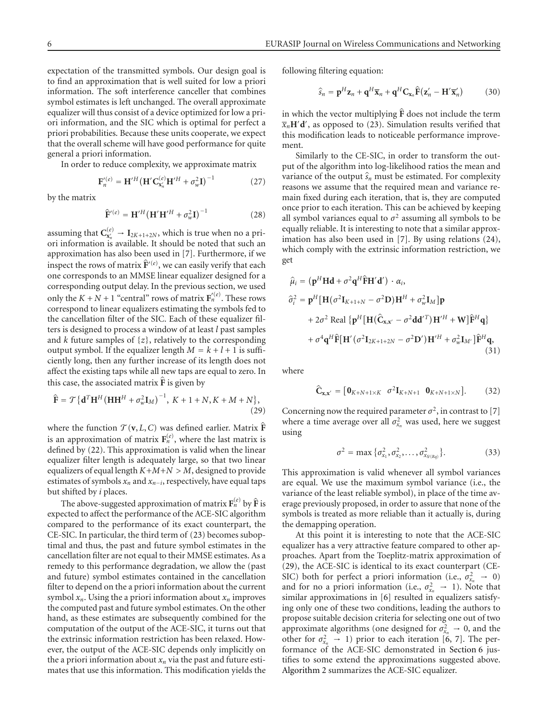expectation of the transmitted symbols. Our design goal is to find an approximation that is well suited for low a priori information. The soft interference canceller that combines symbol estimates is left unchanged. The overall approximate equalizer will thus consist of a device optimized for low a priori information, and the SIC which is optimal for perfect a priori probabilities. Because these units cooperate, we expect that the overall scheme will have good performance for quite general a priori information.

In order to reduce complexity, we approximate matrix

$$
\mathbf{F}'^{(e)}_{n} = \mathbf{H}'^{H} \left( \mathbf{H}' \mathbf{C}_{\mathbf{x}'_{n}}^{(e)} \mathbf{H}'^{H} + \sigma_{w}^{2} \mathbf{I} \right)^{-1}
$$
(27)

by the matrix

$$
\widehat{\mathbf{F}}^{\prime\left(e\right)} = \mathbf{H}^{\prime H} \left(\mathbf{H}^{\prime} \mathbf{H}^{\prime H} + \sigma_{w}^{2} \mathbf{I}\right)^{-1} \tag{28}
$$

assuming that  $C_{\mathbf{x}'_n}^{(e)} \to I_{2K+1+2N}$ , which is true when no a priori information is available. It should be noted that such an approximation has also been used in [\[7\]](#page-10-7). Furthermore, if we inspect the rows of matrix  $\hat{\mathbf{F}}^{\prime\left(e\right)}$ , we can easily verify that each one corresponds to an MMSE linear equalizer designed for a corresponding output delay. In the previous section, we used only the  $K + N + 1$  "central" rows of matrix  $\mathbf{F}'^{(e)}_n$ . These rows correspond to linear equalizers estimating the symbols fed to the cancellation filter of the SIC. Each of these equalizer filters is designed to process a window of at least *l* past samples and *<sup>k</sup>* future samples of {*z*}, relatively to the corresponding output symbol. If the equalizer length  $M = k + l + 1$  is sufficiently long, then any further increase of its length does not affect the existing taps while all new taps are equal to zero. In this case, the associated matrix  $\overline{F}$  is given by

$$
\widehat{\mathbf{F}} = \mathcal{T} \{ \mathbf{d}^T \mathbf{H}^H (\mathbf{H} \mathbf{H}^H + \sigma_w^2 \mathbf{I}_M)^{-1}, K + 1 + N, K + M + N \},\tag{29}
$$

where the function  $\mathcal{T}(\mathbf{v}, L, C)$  was defined earlier. Matrix  $\hat{\mathbf{F}}$ is an approximation of matrix  $F_n^{(e)}$ , where the last matrix is defined by [\(22\)](#page-3-3). This approximation is valid when the linear equalizer filter length is adequately large, so that two linear equalizers of equal length  $K+M+N > M$ , designed to provide estimates of symbols *xn* and *xn*−*<sup>i</sup>*, respectively, have equal taps but shifted by *i* places.

The above-suggested approximation of matrix  $\mathbf{F}_n^{(e)}$  by  $\hat{\mathbf{F}}$  is expected to affect the performance of the ACE-SIC algorithm compared to the performance of its exact counterpart, the CE-SIC. In particular, the third term of [\(23\)](#page-3-1) becomes suboptimal and thus, the past and future symbol estimates in the cancellation filter are not equal to their MMSE estimates. As a remedy to this performance degradation, we allow the (past and future) symbol estimates contained in the cancellation filter to depend on the a priori information about the current symbol  $x_n$ . Using the a priori information about  $x_n$  improves the computed past and future symbol estimates. On the other hand, as these estimates are subsequently combined for the computation of the output of the ACE-SIC, it turns out that the extrinsic information restriction has been relaxed. However, the output of the ACE-SIC depends only implicitly on the a priori information about  $x_n$  via the past and future estimates that use this information. This modification yields the following filtering equation:

$$
\widehat{s}_n = \mathbf{p}^H \mathbf{z}_n + \mathbf{q}^H \overline{\mathbf{x}}_n + \mathbf{q}^H \mathbf{C}_{\mathbf{x}_n} \widehat{\mathbf{F}}(\mathbf{z}'_n - \mathbf{H}' \overline{\mathbf{x}}'_n)
$$
(30)

in which the vector multiplying **F**- does not include the term  $\overline{x}_n$ **H** $'$ **d**<sup> $'$ </sup>, as opposed to [\(23\)](#page-3-1). Simulation results verified that this modification leads to noticeable performance improvement.

Similarly to the CE-SIC, in order to transform the output of the algorithm into log-likelihood ratios the mean and variance of the output  $\hat{s}_n$  must be estimated. For complexity reasons we assume that the required mean and variance remain fixed during each iteration, that is, they are computed once prior to each iteration. This can be achieved by keeping all symbol variances equal to  $\sigma^2$  assuming all symbols to be equally reliable. It is interesting to note that a similar approximation has also been used in [\[7\]](#page-10-7). By using relations [\(24\)](#page-4-1), which comply with the extrinsic information restriction, we get

$$
\hat{\mu}_{i} = (\mathbf{p}^{H} \mathbf{H} \mathbf{d} + \sigma^{2} \mathbf{q}^{H} \hat{\mathbf{F}} \mathbf{H}' \mathbf{d}') \cdot \alpha_{i},
$$
\n
$$
\hat{\sigma}_{i}^{2} = \mathbf{p}^{H} [\mathbf{H} (\sigma^{2} \mathbf{I}_{K+1+N} - \sigma^{2} \mathbf{D}) \mathbf{H}^{H} + \sigma_{w}^{2} \mathbf{I}_{M}] \mathbf{p}
$$
\n
$$
+ 2\sigma^{2} \text{ Real } \{ \mathbf{p}^{H} [\mathbf{H} (\hat{\mathbf{C}}_{\mathbf{x},\mathbf{x}'} - \sigma^{2} \mathbf{d} \mathbf{d}'^{T}) \mathbf{H}'^{H} + \mathbf{W} ] \hat{\mathbf{F}}^{H} \mathbf{q} \}
$$
\n
$$
+ \sigma^{4} \mathbf{q}^{H} \hat{\mathbf{F}} [\mathbf{H}' (\sigma^{2} \mathbf{I}_{2K+1+2N} - \sigma^{2} \mathbf{D}') \mathbf{H}'^{H} + \sigma_{w}^{2} \mathbf{I}_{M'} ] \hat{\mathbf{F}}^{H} \mathbf{q},
$$
\n(31)

<span id="page-5-0"></span>where

<span id="page-5-1"></span>
$$
\hat{\mathbf{C}}_{\mathbf{x},\mathbf{x}'} = [\mathbf{0}_{K+N+1\times K} \quad \sigma^2 \mathbf{I}_{K+N+1} \quad \mathbf{0}_{K+N+1\times N}]. \tag{32}
$$

Concerning now the required parameter  $\sigma^2$ , in contrast to [\[7\]](#page-10-7) where a time average over all  $\sigma_{x_n}^2$  was used, here we suggest using

$$
\sigma^2 = \max \{ \sigma_{x_1}^2, \sigma_{x_2}^2, \dots, \sigma_{x_{S(Rq)}}^2 \}.
$$
 (33)

This approximation is valid whenever all symbol variances are equal. We use the maximum symbol variance (i.e., the variance of the least reliable symbol), in place of the time average previously proposed, in order to assure that none of the symbols is treated as more reliable than it actually is, during the demapping operation.

At this point it is interesting to note that the ACE-SIC equalizer has a very attractive feature compared to other approaches. Apart from the Toeplitz-matrix approximation of [\(29\)](#page-5-0), the ACE-SIC is identical to its exact counterpart (CE-SIC) both for perfect a priori information (i.e.,  $\sigma_{x_n}^2 \rightarrow 0$ ) and for no a priori information (i.e.,  $\sigma_{x_n}^2 \rightarrow 1$ ). Note that similar approximations in [\[6\]](#page-10-6) resulted in equalizers satisfying only one of these two conditions, leading the authors to propose suitable decision criteria for selecting one out of two approximate algorithms (one designed for  $\sigma_{x_n}^2 \rightarrow 0$ , and the other for  $\sigma_{x_n}^2 \rightarrow 1$ ) prior to each iteration [\[6](#page-10-6), [7](#page-10-7)]. The performance of the ACE-SIC demonstrated in [Section 6](#page-7-0) justifies to some extend the approximations suggested above. [Algorithm 2](#page-6-1) summarizes the ACE-SIC equalizer.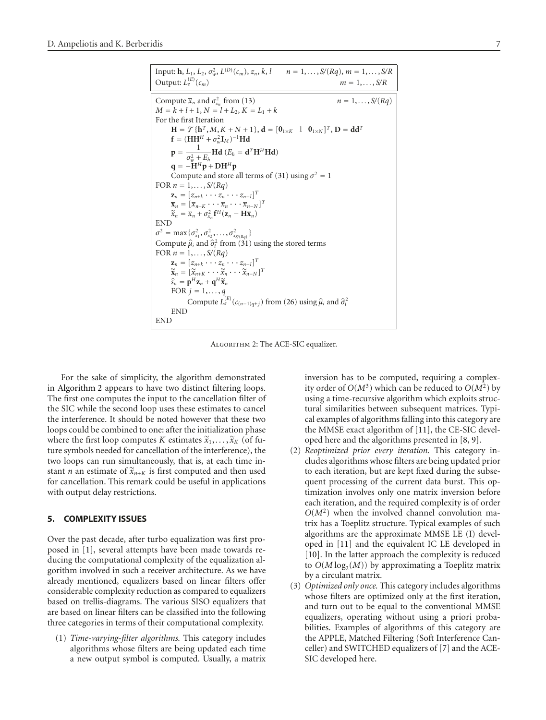| Input: <b>h</b> , $L_1$ , $L_2$ , $\sigma_w^2$ , $L^{(D)}(c_m)$ , $z_n$ , $k$ , $l \qquad n = 1, , S/(Rq)$ , $m = 1, , S/R$<br>Output: $L_e^{(E)}(c_m)$<br>$m = 1, \ldots, S/R$ |  |  |  |  |
|---------------------------------------------------------------------------------------------------------------------------------------------------------------------------------|--|--|--|--|
| Compute $\overline{x}_n$ and $\sigma_{x_n}^2$ from (13)<br>$n = 1, , S/(Ra)$                                                                                                    |  |  |  |  |
| $M = k + l + 1, N = l + L_2, K = L_1 + k$                                                                                                                                       |  |  |  |  |
| For the first Iteration                                                                                                                                                         |  |  |  |  |
| $H = \mathcal{T} \{ h^T, M, K + N + 1 \}, d = [0_{1 \times K} \ 1 \ 0_{1 \times N}]^T, D = dd^T$                                                                                |  |  |  |  |
| $\mathbf{f} = (\mathbf{H}\mathbf{H}^H + \sigma_w^2 \mathbf{I}_M)^{-1}\mathbf{H}\mathbf{d}$                                                                                      |  |  |  |  |
| $\mathbf{p} = \frac{1}{\sigma^2 + E_L} \mathbf{H} \mathbf{d} \ (E_h = \mathbf{d}^T \mathbf{H}^H \mathbf{H} \mathbf{d})$                                                         |  |  |  |  |
| $\mathbf{q} = -\mathbf{H}^H \mathbf{p} + \mathbf{D} \mathbf{H}^H \mathbf{p}$                                                                                                    |  |  |  |  |
| Compute and store all terms of (31) using $\sigma^2 = 1$                                                                                                                        |  |  |  |  |
| FOR $n = 1, \ldots, S/(Ra)$                                                                                                                                                     |  |  |  |  |
| $\mathbf{z}_n = [z_{n+k} \cdots z_n \cdots z_{n-l}]^T$                                                                                                                          |  |  |  |  |
| $\overline{\mathbf{x}}_n = [\overline{x}_{n+K} \cdots \overline{x}_n \cdots \overline{x}_{n-N}]^T$                                                                              |  |  |  |  |
| $\widetilde{x}_n = \overline{x}_n + \sigma_{x_n}^2 \mathbf{f}^H(\mathbf{z}_n - \mathbf{H}\overline{\mathbf{x}}_n)$                                                              |  |  |  |  |
| <b>END</b>                                                                                                                                                                      |  |  |  |  |
| $\sigma^2 = \max\{\sigma_{x_1}^2, \sigma_{x_2}^2, \ldots, \sigma_{x_{S/(R_a)}}^2\}$                                                                                             |  |  |  |  |
| Compute $\hat{\mu}_i$ and $\hat{\sigma}_i^2$ from (31) using the stored terms                                                                                                   |  |  |  |  |
| FOR $n = 1, \ldots, S/(Ra)$                                                                                                                                                     |  |  |  |  |
| $\mathbf{z}_n = [z_{n+k} \cdots z_n \cdots z_{n-l}]^T$                                                                                                                          |  |  |  |  |
| $\widetilde{\mathbf{x}}_n = [\widetilde{x}_{n+K} \cdots \widetilde{x}_n \cdots \widetilde{x}_{n-N}]^T$                                                                          |  |  |  |  |
| $\hat{s}_n = \mathbf{p}^H \mathbf{z}_n + \mathbf{q}^H \widetilde{\mathbf{x}}_n$                                                                                                 |  |  |  |  |
| FOR $j = 1, \ldots, q$                                                                                                                                                          |  |  |  |  |
| Compute $L_{e}^{(E)}(c_{(n-1)q+j})$ from (26) using $\hat{\mu}_i$ and $\hat{\sigma}_i^2$                                                                                        |  |  |  |  |
| <b>END</b>                                                                                                                                                                      |  |  |  |  |
| END                                                                                                                                                                             |  |  |  |  |

<span id="page-6-1"></span>ALGORITHM 2: The ACE-SIC equalizer.

For the sake of simplicity, the algorithm demonstrated in [Algorithm 2](#page-6-1) appears to have two distinct filtering loops. The first one computes the input to the cancellation filter of the SIC while the second loop uses these estimates to cancel the interference. It should be noted however that these two loops could be combined to one: after the initialization phase where the first loop computes *K* estimates  $\widetilde{x}_1, \ldots, \widetilde{x}_K$  (of future symbols needed for cancellation of the interference), the two loops can run simultaneously, that is, at each time instant *n* an estimate of  $\widetilde{x}_{n+K}$  is first computed and then used for cancellation. This remark could be useful in applications with output delay restrictions.

# <span id="page-6-0"></span>**5. COMPLEXITY ISSUES**

Over the past decade, after turbo equalization was first proposed in [\[1\]](#page-10-1), several attempts have been made towards reducing the computational complexity of the equalization algorithm involved in such a receiver architecture. As we have already mentioned, equalizers based on linear filters offer considerable complexity reduction as compared to equalizers based on trellis-diagrams. The various SISO equalizers that are based on linear filters can be classified into the following three categories in terms of their computational complexity.

(1) *Time-varying-filter algorithms.* This category includes algorithms whose filters are being updated each time a new output symbol is computed. Usually, a matrix inversion has to be computed, requiring a complexity order of  $O(M^3)$  which can be reduced to  $O(M^2)$  by using a time-recursive algorithm which exploits structural similarities between subsequent matrices. Typical examples of algorithms falling into this category are the MMSE exact algorithm of [\[11](#page-10-11)], the CE-SIC developed here and the algorithms presented in [\[8,](#page-10-8) [9](#page-10-9)].

- (2) *Reoptimized prior every iteration.* This category includes algorithms whose filters are being updated prior to each iteration, but are kept fixed during the subsequent processing of the current data burst. This optimization involves only one matrix inversion before each iteration, and the required complexity is of order  $O(M^2)$  when the involved channel convolution matrix has a Toeplitz structure. Typical examples of such algorithms are the approximate MMSE LE (I) developed in [\[11](#page-10-11)] and the equivalent IC LE developed in [\[10](#page-10-10)]. In the latter approach the complexity is reduced to  $O(M \log_2(M))$  by approximating a Toeplitz matrix by a circulant matrix.
- (3) *Optimized only once.* This category includes algorithms whose filters are optimized only at the first iteration, and turn out to be equal to the conventional MMSE equalizers, operating without using a priori probabilities. Examples of algorithms of this category are the APPLE, Matched Filtering (Soft Interference Canceller) and SWITCHED equalizers of [\[7](#page-10-7)] and the ACE-SIC developed here.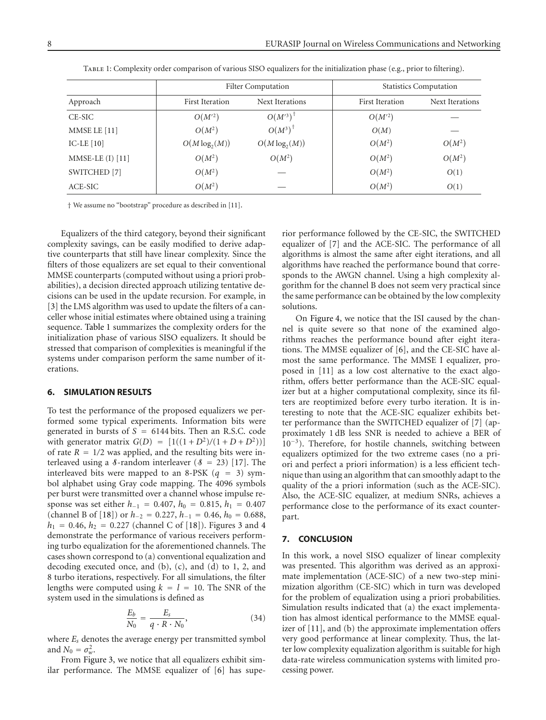<span id="page-7-2"></span>

|                      | <b>Filter Computation</b> |                        | <b>Statistics Computation</b> |                 |
|----------------------|---------------------------|------------------------|-------------------------------|-----------------|
| Approach             | First Iteration           | Next Iterations        | <b>First Iteration</b>        | Next Iterations |
| CE-SIC               | $O(M^2)$                  | $O(M^3)^{\frac{1}{3}}$ | $O(M^2)$                      |                 |
| MMSE LE [11]         | $O(M^2)$                  | $O(M^3)$ <sup>†</sup>  | O(M)                          |                 |
| IC-LE $[10]$         | $O(M \log_2(M))$          | $O(M \log_2(M))$       | $O(M^2)$                      | $O(M^2)$        |
| MMSE-LE $(I)$ $[11]$ | $O(M^2)$                  | $O(M^2)$               | $O(M^2)$                      | $O(M^2)$        |
| SWITCHED [7]         | $O(M^2)$                  |                        | $O(M^2)$                      | O(1)            |
| ACE-SIC              | $O(M^2)$                  |                        | $O(M^2)$                      | O(1)            |

Table 1: Complexity order comparison of various SISO equalizers for the initialization phase (e.g., prior to filtering).

† We assume no "bootstrap" procedure as described in [\[11](#page-10-11)].

Equalizers of the third category, beyond their significant complexity savings, can be easily modified to derive adaptive counterparts that still have linear complexity. Since the filters of those equalizers are set equal to their conventional MMSE counterparts (computed without using a priori probabilities), a decision directed approach utilizing tentative decisions can be used in the update recursion. For example, in [\[3\]](#page-10-3) the LMS algorithm was used to update the filters of a canceller whose initial estimates where obtained using a training sequence. [Table 1](#page-7-2) summarizes the complexity orders for the initialization phase of various SISO equalizers. It should be stressed that comparison of complexities is meaningful if the systems under comparison perform the same number of iterations.

### <span id="page-7-0"></span>**6. SIMULATION RESULTS**

To test the performance of the proposed equalizers we performed some typical experiments. Information bits were generated in bursts of *<sup>S</sup>* <sup>=</sup> 6144 bits. Then an R.S.C. code with generator matrix  $G(D) = [1((1 + D^2)/(1 + D + D^2))]$ of rate  $R = 1/2$  was applied, and the resulting bits were interleaved using a  $\delta$ -random interleaver ( $\delta = 23$ ) [\[17](#page-10-17)]. The interleaved bits were mapped to an 8-PSK  $(q = 3)$  symbol alphabet using Gray code mapping. The 4096 symbols per burst were transmitted over a channel whose impulse response was set either *<sup>h</sup>*−<sup>1</sup> <sup>=</sup> <sup>0</sup>*.*407, *<sup>h</sup>*<sup>0</sup> <sup>=</sup> <sup>0</sup>*.*815, *<sup>h</sup>*<sup>1</sup> <sup>=</sup> <sup>0</sup>*.*<sup>407</sup> (channel B of [\[18](#page-10-18)]) or  $h_{-2} = 0.227$ ,  $h_{-1} = 0.46$ ,  $h_0 = 0.688$ ,  $h_1 = 0.46$  $h_1 = 0.46$  $h_1 = 0.46$ ,  $h_2 = 0.227$  (channel C of [\[18](#page-10-18)]). Figures [3](#page-8-0) and 4 demonstrate the performance of various receivers performing turbo equalization for the aforementioned channels. The cases shown correspond to (a) conventional equalization and decoding executed once, and (b), (c), and (d) to 1, 2, and 8 turbo iterations, respectively. For all simulations, the filter lengths were computed using  $k = l = 10$ . The SNR of the system used in the simulations is defined as

$$
\frac{E_b}{N_0} = \frac{E_s}{q \cdot R \cdot N_0},\tag{34}
$$

where *Es* denotes the average energy per transmitted symbol and  $N_0 = \sigma_w^2$ .

From [Figure 3,](#page-8-0) we notice that all equalizers exhibit similar performance. The MMSE equalizer of [\[6\]](#page-10-6) has superior performance followed by the CE-SIC, the SWITCHED equalizer of [\[7](#page-10-7)] and the ACE-SIC. The performance of all algorithms is almost the same after eight iterations, and all algorithms have reached the performance bound that corresponds to the AWGN channel. Using a high complexity algorithm for the channel B does not seem very practical since the same performance can be obtained by the low complexity solutions.

On [Figure 4,](#page-9-0) we notice that the ISI caused by the channel is quite severe so that none of the examined algorithms reaches the performance bound after eight iterations. The MMSE equalizer of [\[6](#page-10-6)], and the CE-SIC have almost the same performance. The MMSE I equalizer, proposed in [\[11](#page-10-11)] as a low cost alternative to the exact algorithm, offers better performance than the ACE-SIC equalizer but at a higher computational complexity, since its filters are reoptimized before every turbo iteration. It is interesting to note that the ACE-SIC equalizer exhibits better performance than the SWITCHED equalizer of [\[7\]](#page-10-7) (approximately 1 dB less SNR is needed to achieve a BER of 10−3). Therefore, for hostile channels, switching between equalizers optimized for the two extreme cases (no a priori and perfect a priori information) is a less efficient technique than using an algorithm that can smoothly adapt to the quality of the a priori information (such as the ACE-SIC). Also, the ACE-SIC equalizer, at medium SNRs, achieves a performance close to the performance of its exact counterpart.

### <span id="page-7-1"></span>**7. CONCLUSION**

In this work, a novel SISO equalizer of linear complexity was presented. This algorithm was derived as an approximate implementation (ACE-SIC) of a new two-step minimization algorithm (CE-SIC) which in turn was developed for the problem of equalization using a priori probabilities. Simulation results indicated that (a) the exact implementation has almost identical performance to the MMSE equalizer of [\[11](#page-10-11)], and (b) the approximate implementation offers very good performance at linear complexity. Thus, the latter low complexity equalization algorithm is suitable for high data-rate wireless communication systems with limited processing power.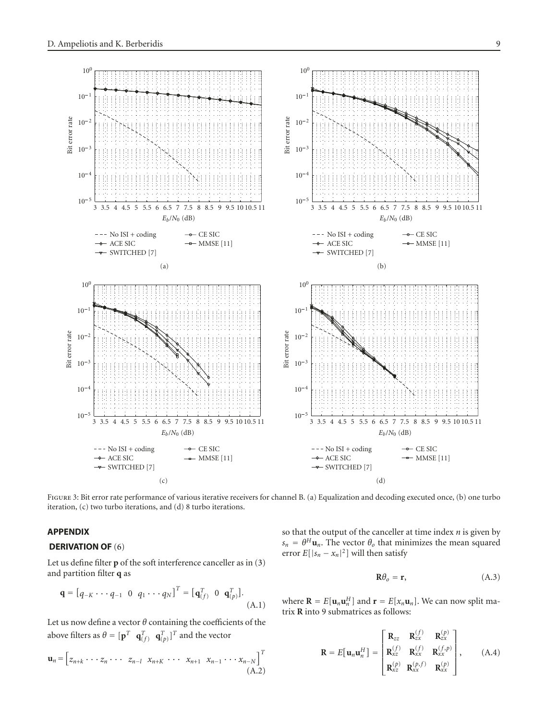

<span id="page-8-0"></span>Figure 3: Bit error rate performance of various iterative receivers for channel B. (a) Equalization and decoding executed once, (b) one turbo iteration, (c) two turbo iterations, and (d) 8 turbo iterations.

 $)$ 

# **APPENDIX**

## **DERIVATION OF** [\(6\)](#page-2-4)

Let us define filter **p** of the soft interference canceller as in [\(3\)](#page-2-5) and partition filter **q** as

$$
\mathbf{q} = [q_{-K} \cdots q_{-1} \ 0 \ q_1 \cdots q_N]^T = [q_{(f)}^T \ 0 \ q_{(p)}^T].
$$
\n(A.1)

Let us now define a vector *θ* containing the coefficients of the above filters as  $\theta = [\mathbf{p}^T \ \mathbf{q}_{(f)}^T \ \mathbf{q}_{(p)}^T]^T$  and the vector

$$
\mathbf{u}_n = \begin{bmatrix} z_{n+k} \cdots z_n \cdots z_{n-l} & x_{n+k} \cdots x_{n+1} & x_{n-1} \cdots x_{n-N} \end{bmatrix}^T
$$
\n(A.2)

so that the output of the canceller at time index *n* is given by  $s_n = \theta^H \mathbf{u}_n$ . The vector  $\theta_o$  that minimizes the mean squared error  $E[|s_n - x_n|^2]$  will then satisfy

$$
\mathbf{R}\theta_o = \mathbf{r},\tag{A.3}
$$

where  $\mathbf{R} = E[\mathbf{u}_n \mathbf{u}_n^H]$  and  $\mathbf{r} = E[x_n \mathbf{u}_n]$ . We can now split matrix **R** into 9 submatrices as follows:

$$
\mathbf{R} = E[\mathbf{u}_n \mathbf{u}_n^H] = \begin{bmatrix} \mathbf{R}_{zz} & \mathbf{R}_{zx}^{(f)} & \mathbf{R}_{zx}^{(p)} \\ \mathbf{R}_{xz}^{(f)} & \mathbf{R}_{xx}^{(f)} & \mathbf{R}_{xx}^{(f,p)} \\ \mathbf{R}_{xz}^{(p)} & \mathbf{R}_{xx}^{(p,f)} & \mathbf{R}_{xx}^{(p)} \end{bmatrix}, \quad (A.4)
$$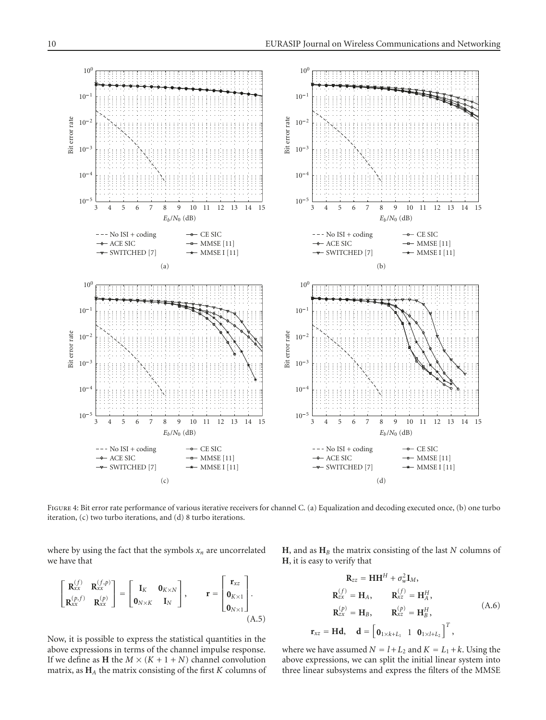

<span id="page-9-0"></span>FIGURE 4: Bit error rate performance of various iterative receivers for channel C. (a) Equalization and decoding executed once, (b) one turbo iteration, (c) two turbo iterations, and (d) 8 turbo iterations.

 $\mathbf{r}_{xz}$ 

where by using the fact that the symbols  $x_n$  are uncorrelated we have that

 $\Gamma$  $\mathbf{I}$  $\mathbf{R}_{xx}^{(f)}$   $\mathbf{R}_{xx}^{(f,p)}$  $\mathbf{R}_{xx}^{(p,f)}$   $\mathbf{R}_{xx}^{(p)}$ ⎤  $\vert$  =  $\Gamma$  $\begin{bmatrix} \mathbf{I}_K & \mathbf{0}_{K\times N} \\ \mathbf{0} & \mathbf{I} \end{bmatrix}$  $\mathbf{0}_{N\times K}$  **I**<sub>N</sub>  $\overline{\mathsf{I}}$  $\vert , \vert$  **r** =  $\Gamma$  $\parallel$ **r***xz*  $\mathbf{0}_{K\times1}$  $\mathbf{0}_{N\times1}$  $\overline{\mathsf{I}}$  $\vert \cdot$ (A.5)

Now, it is possible to express the statistical quantities in the above expressions in terms of the channel impulse response. If we define as **H** the  $M \times (K + 1 + N)$  channel convolution matrix, as **H***<sup>A</sup>* the matrix consisting of the first *K* columns of **H**, and as **H***<sup>B</sup>* the matrix consisting of the last *N* columns of **H**, it is easy to verify that

$$
\mathbf{R}_{zz} = \mathbf{H}\mathbf{H}^{H} + \sigma_{w}^{2}\mathbf{I}_{M},
$$
\n
$$
\mathbf{R}_{zx}^{(f)} = \mathbf{H}_{A}, \qquad \mathbf{R}_{xz}^{(f)} = \mathbf{H}_{A}^{H},
$$
\n
$$
\mathbf{R}_{zx}^{(p)} = \mathbf{H}_{B}, \qquad \mathbf{R}_{xz}^{(p)} = \mathbf{H}_{B}^{H},
$$
\n
$$
= \mathbf{H}\mathbf{d}, \quad \mathbf{d} = \begin{bmatrix} \mathbf{0}_{1 \times k + L_{1}} & 1 & \mathbf{0}_{1 \times l + L_{2}} \end{bmatrix}^{T},
$$
\n(A.6)

where we have assumed  $N = l + L_2$  and  $K = L_1 + k$ . Using the above expressions, we can split the initial linear system into three linear subsystems and express the filters of the MMSE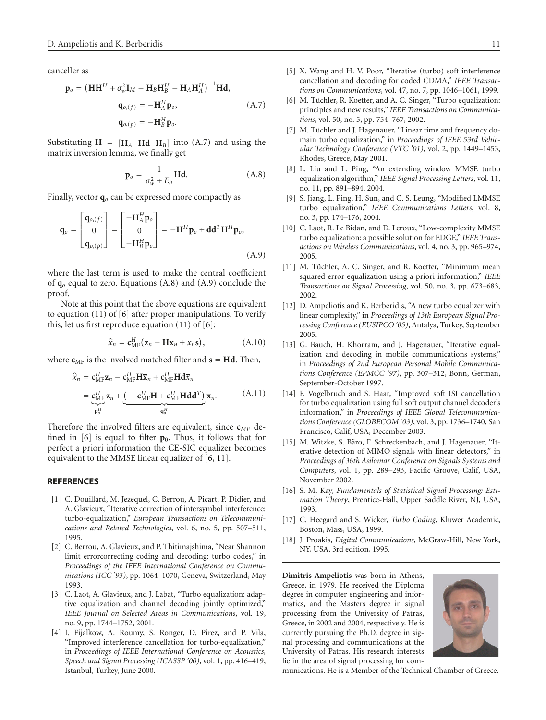canceller as

$$
\mathbf{p}_o = \left(\mathbf{H}\mathbf{H}^H + \sigma_w^2 \mathbf{I}_M - \mathbf{H}_B \mathbf{H}_B^H - \mathbf{H}_A \mathbf{H}_A^H\right)^{-1} \mathbf{H} \mathbf{d},
$$
  
\n
$$
\mathbf{q}_{o,(f)} = -\mathbf{H}_A^H \mathbf{p}_o,
$$
  
\n
$$
\mathbf{q}_{o,(p)} = -\mathbf{H}_B^H \mathbf{p}_o.
$$
\n(A.7)

Substituting  $H = [H_A \ Hd \ H_B]$  into [\(A.7\)](#page-10-19) and using the matrix inversion lemma, we finally get

<span id="page-10-21"></span><span id="page-10-20"></span><span id="page-10-19"></span>
$$
\mathbf{p}_o = \frac{1}{\sigma_w^2 + E_h} \mathbf{H} \mathbf{d}.
$$
 (A.8)

Finally, vector **q***<sup>o</sup>* can be expressed more compactly as

$$
\mathbf{q}_{o} = \begin{bmatrix} \mathbf{q}_{o,(f)} \\ 0 \\ \mathbf{q}_{o,(p)} \end{bmatrix} = \begin{bmatrix} -\mathbf{H}_{A}^{H} \mathbf{p}_{o} \\ 0 \\ -\mathbf{H}_{B}^{H} \mathbf{p}_{o} \end{bmatrix} = -\mathbf{H}^{H} \mathbf{p}_{o} + \mathbf{d} \mathbf{d}^{T} \mathbf{H}^{H} \mathbf{p}_{o},
$$
\n(A.9)

where the last term is used to make the central coefficient of **q***<sup>o</sup>* equal to zero. Equations [\(A.8\)](#page-10-20) and [\(A.9\)](#page-10-21) conclude the proof.

Note at this point that the above equations are equivalent to equation (11) of [\[6\]](#page-10-6) after proper manipulations. To verify this, let us first reproduce equation  $(11)$  of  $[6]$  $[6]$ :

$$
\widehat{x}_n = \mathbf{c}_{\mathrm{MF}}^H(\mathbf{z}_n - \mathbf{H}\overline{\mathbf{x}}_n + \overline{x}_n\mathbf{s}), \qquad (A.10)
$$

where  $c_{MF}$  is the involved matched filter and  $s = Hd$ . Then,

$$
\hat{\mathbf{x}}_n = \mathbf{c}_{\mathrm{MF}}^H \mathbf{z}_n - \mathbf{c}_{\mathrm{MF}}^H \mathbf{H} \overline{\mathbf{x}}_n + \mathbf{c}_{\mathrm{MF}}^H \mathbf{H} \mathbf{d} \overline{\mathbf{x}}_n \n= \underbrace{\mathbf{c}_{\mathrm{MF}}^H \mathbf{z}_n}_{\mathbf{p}_o^H} + \underbrace{(-\mathbf{c}_{\mathrm{MF}}^H \mathbf{H} + \mathbf{c}_{\mathrm{MF}}^H \mathbf{H} \mathbf{d} \mathbf{d}^T)}_{\mathbf{q}_o^H} \overline{\mathbf{x}}_n.
$$
\n(A.11)

Therefore the involved filters are equivalent, since **c***MF* defined in  $[6]$  $[6]$  is equal to filter  $\mathbf{p}_0$ . Thus, it follows that for perfect a priori information the CE-SIC equalizer becomes equivalent to the MMSE linear equalizer of [\[6](#page-10-6), [11\]](#page-10-11).

#### <span id="page-10-1"></span><span id="page-10-0"></span>**REFERENCES**

- [1] C. Douillard, M. Jezequel, C. Berrou, A. Picart, P. Didier, and A. Glavieux, "Iterative correction of intersymbol interference: turbo-equalization," *European Transactions on Telecommunications and Related Technologies*, vol. 6, no. 5, pp. 507–511, 1995.
- <span id="page-10-2"></span>[2] C. Berrou, A. Glavieux, and P. Thitimajshima, "Near Shannon" limit errorcorrecting coding and decoding: turbo codes," in *Proceedings of the IEEE International Conference on Communications (ICC '93)*, pp. 1064–1070, Geneva, Switzerland, May 1993.
- <span id="page-10-3"></span>[3] C. Laot, A. Glavieux, and J. Labat, "Turbo equalization: adaptive equalization and channel decoding jointly optimized," *IEEE Journal on Selected Areas in Communications*, vol. 19, no. 9, pp. 1744–1752, 2001.
- <span id="page-10-4"></span>[4] I. Fijalkow, A. Roumy, S. Ronger, D. Pirez, and P. Vila, "Improved interference cancellation for turbo-equalization," in *Proceedings of IEEE International Conference on Acoustics, Speech and Signal Processing (ICASSP '00)*, vol. 1, pp. 416–419, Istanbul, Turkey, June 2000.
- <span id="page-10-5"></span>[5] X. Wang and H. V. Poor, "Iterative (turbo) soft interference cancellation and decoding for coded CDMA," *IEEE Transactions on Communications*, vol. 47, no. 7, pp. 1046–1061, 1999.
- <span id="page-10-6"></span>[6] M. Tüchler, R. Koetter, and A. C. Singer, "Turbo equalization: principles and new results," *IEEE Transactions on Communications*, vol. 50, no. 5, pp. 754–767, 2002.
- <span id="page-10-7"></span>[7] M. Tüchler and J. Hagenauer, "Linear time and frequency domain turbo equalization," in *Proceedings of IEEE 53rd Vehicular Technology Conference (VTC '01)*, vol. 2, pp. 1449–1453, Rhodes, Greece, May 2001.
- <span id="page-10-8"></span>[8] L. Liu and L. Ping, "An extending window MMSE turbo equalization algorithm," *IEEE Signal Processing Letters*, vol. 11, no. 11, pp. 891–894, 2004.
- <span id="page-10-9"></span>[9] S. Jiang, L. Ping, H. Sun, and C. S. Leung, "Modified LMMSE turbo equalization," *IEEE Communications Letters*, vol. 8, no. 3, pp. 174–176, 2004.
- <span id="page-10-10"></span>[10] C. Laot, R. Le Bidan, and D. Leroux, "Low-complexity MMSE turbo equalization: a possible solution for EDGE," *IEEE Transactions on Wireless Communications*, vol. 4, no. 3, pp. 965–974, 2005.
- <span id="page-10-11"></span>[11] M. Tüchler, A. C. Singer, and R. Koetter, "Minimum mean squared error equalization using a priori information," *IEEE Transactions on Signal Processing*, vol. 50, no. 3, pp. 673–683, 2002.
- <span id="page-10-12"></span>[12] D. Ampeliotis and K. Berberidis, "A new turbo equalizer with linear complexity," in *Proceedings of 13th European Signal Processing Conference (EUSIPCO '05)*, Antalya, Turkey, September 2005.
- <span id="page-10-13"></span>[13] G. Bauch, H. Khorram, and J. Hagenauer, "Iterative equalization and decoding in mobile communications systems," in *Proceedings of 2nd European Personal Mobile Communications Conference (EPMCC '97)*, pp. 307–312, Bonn, German, September-October 1997.
- <span id="page-10-14"></span>[14] F. Vogelbruch and S. Haar, "Improved soft ISI cancellation for turbo equalization using full soft output channel decoder's information," in *Proceedings of IEEE Global Telecommunications Conference (GLOBECOM '03)*, vol. 3, pp. 1736–1740, San Francisco, Calif, USA, December 2003.
- <span id="page-10-15"></span>[15] M. Witzke, S. Bäro, F. Schreckenbach, and J. Hagenauer, "Iterative detection of MIMO signals with linear detectors," in *Proceedings of 36th Asilomar Conference on Signals Systems and Computers*, vol. 1, pp. 289–293, Pacific Groove, Calif, USA, November 2002.
- <span id="page-10-16"></span>[16] S. M. Kay, *Fundamentals of Statistical Signal Processing: Estimation Theory*, Prentice-Hall, Upper Saddle River, NJ, USA, 1993.
- <span id="page-10-17"></span>[17] C. Heegard and S. Wicker, *Turbo Coding*, Kluwer Academic, Boston, Mass, USA, 1999.
- <span id="page-10-18"></span>[18] J. Proakis, *Digital Communications*, McGraw-Hill, New York, NY, USA, 3rd edition, 1995.

**Dimitris Ampeliotis** was born in Athens, Greece, in 1979. He received the Diploma degree in computer engineering and informatics, and the Masters degree in signal processing from the University of Patras, Greece, in 2002 and 2004, respectively. He is currently pursuing the Ph.D. degree in signal processing and communications at the University of Patras. His research interests lie in the area of signal processing for com-



munications. He is a Member of the Technical Chamber of Greece.